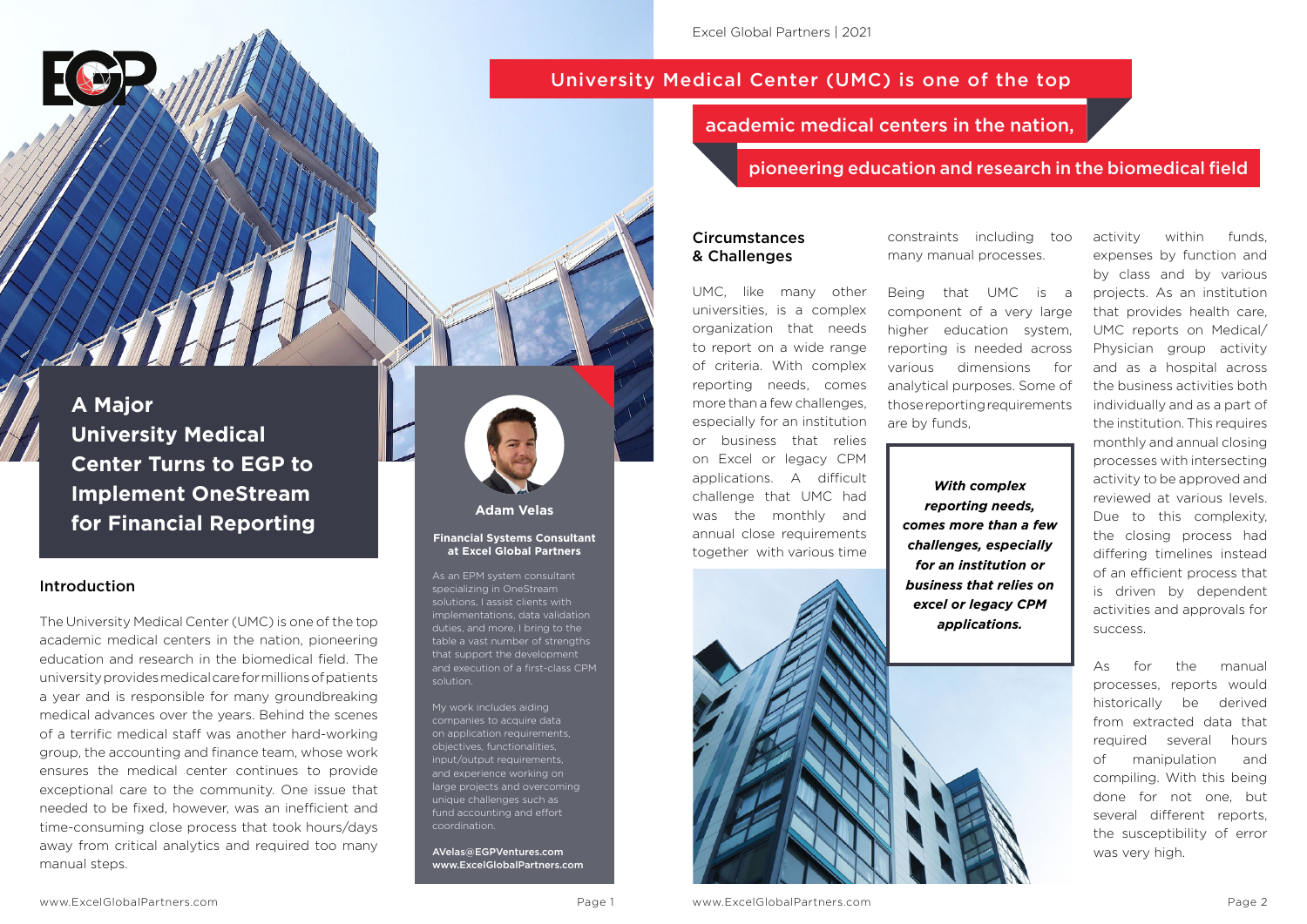**A Major University Medical Center Turns to EGP to Implement OneStream for Financial Reporting**

#### Introduction

The University Medical Center (UMC) is one of the top academic medical centers in the nation, pioneering education and research in the biomedical field. The university provides medical care for millions of patients a year and is responsible for many groundbreaking medical advances over the years. Behind the scenes of a terrific medical staff was another hard-working group, the accounting and finance team, whose work ensures the medical center continues to provide exceptional care to the community. One issue that needed to be fixed, however, was an inefficient and time-consuming close process that took hours/days away from critical analytics and required too many manual steps.

#### Circumstances & Challenges

UMC, like many other universities, is a complex organization that needs to report on a wide range of criteria. With complex reporting needs, comes more than a few challenges, especially for an institution or business that relies on Excel or legacy CPM applications. A difficult challenge that UMC had was the monthly and annual close requirements together with various time

constraints including too many manual processes.

Being that UMC is a component of a very large higher education system, reporting is needed across various dimensions for analytical purposes. Some of those reporting requirements are by funds,

activity within funds, expenses by function and by class and by various projects. As an institution that provides health care, UMC reports on Medical/ Physician group activity and as a hospital across the business activities both individually and as a part of the institution. This requires monthly and annual closing processes with intersecting activity to be approved and reviewed at various levels. Due to this complexity, the closing process had differing timelines instead of an efficient process that is driven by dependent activities and approvals for success.

As for the manual processes, reports would historically be derived from extracted data that required several hours of manipulation and compiling. With this being done for not one, but several different reports, the susceptibility of error was very high.

# University Medical Center (UMC) is one of the top

# academic medical centers in the nation,

*With complex reporting needs, comes more than a few challenges, especially for an institution or business that relies on excel or legacy CPM applications.*

## **Adam Velas**

#### **Financial Systems Consultant at Excel Global Partners**

As an EPM system consultant specializing in OneStream solutions, I assist clients with implementations, data validation duties, and more. I bring to the table a vast number of strengths that support the development and execution of a first-class CPM solution.

My work includes aiding companies to acquire data on application requirements, objectives, functionalities, input/output requirements. and experience working on large projects and overcoming unique challenges such as fund accounting and effort coordination.

AVelas@EGPVentures.com www.ExcelGlobalPartners.com

#### pioneering education and research in the biomedical field

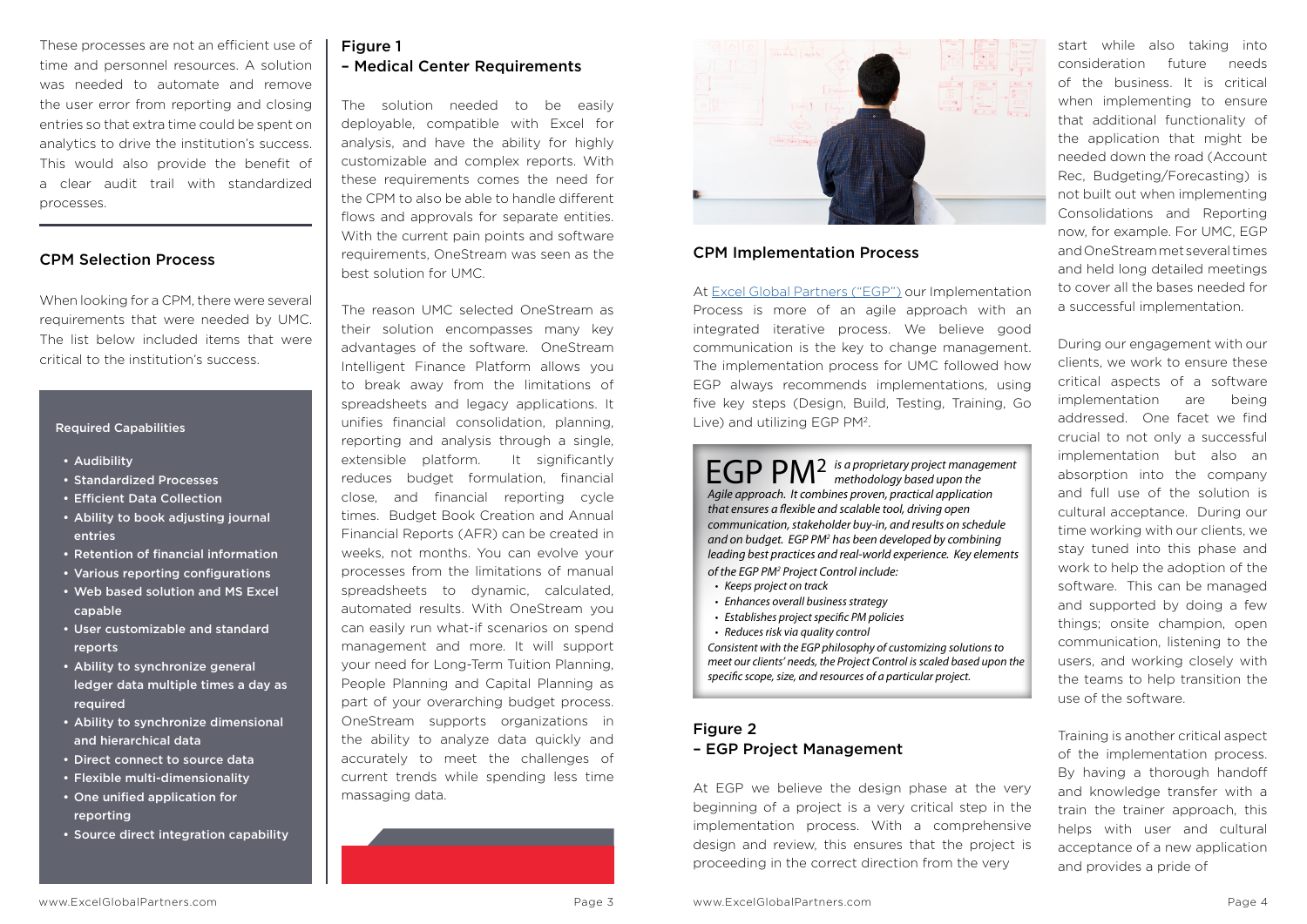These processes are not an efficient use of time and personnel resources. A solution was needed to automate and remove the user error from reporting and closing entries so that extra time could be spent on analytics to drive the institution's success. This would also provide the benefit of a clear audit trail with standardized processes.

When looking for a CPM, there were several requirements that were needed by UMC. The list below included items that were critical to the institution's success.

### CPM Selection Process

#### Required Capabilities

The reason UMC selected OneStream as their solution encompasses many key advantages of the software. OneStream advantages of the software. OneStream<br>Intelligent Finance Platform allows you to break away from the limitations of spreadsheets and legacy applications. It unifies financial consolidation, planning, reporting and analysis through a single, extensible platform. It significantly reduces budget formulation, financial close, and financial reporting cycle times. Budget Book Creation and Annual Financial Reports (AFR) can be created in weeks, not months. You can evolve your<br>processes from the limitations of manual processes from the limitations of manual spreadsheets to dynamic, calculated, automated results. With OneStream you can easily run what-if scenarios on spend management and more. It will support your need for Long-Term Tuition Planning, People Planning and Capital Planning as part of your overarching budget process. OneStream supports organizations in the ability to analyze data quickly and accurately to meet the challenges of current trends while spending less time massaging data. **P**<br>Ses many ket

- Audibility
- Standardized Processes
- Efficient Data Collection
- Ability to book adjusting journal entries
- Retention of financial information
- Retention of financial imormation<br>• Various reporting configurations
- Web based solution and MS Excel capable
- User customizable and standard reports
- Ability to synchronize general ledger data multiple times a day as required
- Ability to synchronize dimensional and hierarchical data
- Direct connect to source data
- Flexible multi-dimensionality
- One unified application for reporting
- Source direct integration capability

# Figure 1 – Medical Center Requirements

The solution needed to be easily deployable, compatible with Excel for analysis, and have the ability for highly customizable and complex reports. With these requirements comes the need for the CPM to also be able to handle different flows and approvals for separate entities. With the current pain points and software requirements, OneStream was seen as the best solution for UMC.

> EGP PM2 *is a proprietary project management methodology based upon the Agile approach. It combines proven, practical application that ensures a flexible and scalable tool, driving open communication, stakeholder buy-in, and results on schedule*  and on budget. EGP PM<sup>2</sup> has been developed by combining *leading best practices and real-world experience. Key elements*  of the EGP PM<sup>2</sup> Project Control include:

start while also taking into consideration future needs of the business. It is critical when implementing to ensure that additional functionality of the application that might be needed down the road (Account Rec, Budgeting/Forecasting) is not built out when implementing Consolidations and Reporting now, for example. For UMC, EGP and OneStream met several times and held long detailed meetings to cover all the bases needed for a successful implementation.

During our engagement with our clients, we work to ensure these critical aspects of a software implementation are being addressed. One facet we find crucial to not only a successful implementation but also an absorption into the company and full use of the solution is cultural acceptance. During our time working with our clients, we stay tuned into this phase and work to help the adoption of the software. This can be managed and supported by doing a few things; onsite champion, open communication, listening to the users, and working closely with the teams to help transition the use of the software.

Training is another critical aspect of the implementation process. By having a thorough handoff and knowledge transfer with a train the trainer approach, this helps with user and cultural acceptance of a new application and provides a pride of

### CPM Implementation Process

At [Excel Global Partners \("EGP"\)](https://www.excelglobalpartners.com/) our Implementation Process is more of an agile approach with an integrated iterative process. We believe good communication is the key to change management. The implementation process for UMC followed how EGP always recommends implementations, using five key steps (Design, Build, Testing, Training, Go Live) and utilizing EGP PM2.



- • *Keeps project on track*
- • *Enhances overall business strategy*
- • *Establishes project specific PM policies*
- • *Reduces risk via quality control*

*Consistent with the EGP philosophy of customizing solutions to meet our clients' needs, the Project Control is scaled based upon the specific scope, size, and resources of a particular project.*

## Figure 2 – EGP Project Management

At EGP we believe the design phase at the very beginning of a project is a very critical step in the implementation process. With a comprehensive design and review, this ensures that the project is proceeding in the correct direction from the very